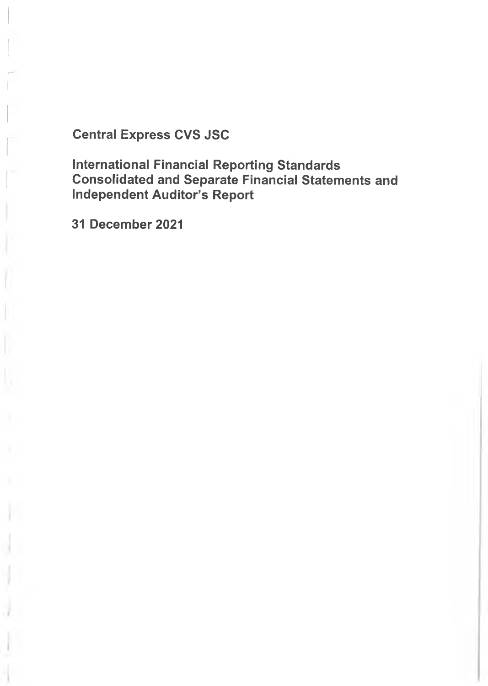# **Central Express CVS JSC**

**International Financial Reporting Standards Consolidated and Separate Financial Statements and Independent Auditor's Report**

**31 December 2021**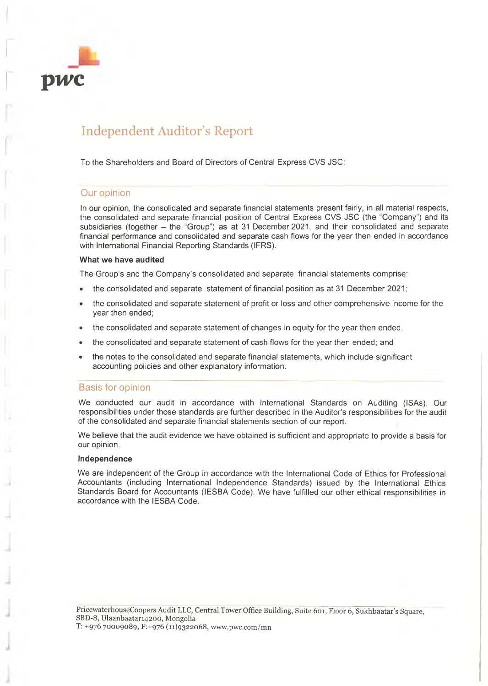

# Independent Auditor's Report

To the Shareholders and Board of Directors of Central Express CVS JSC:

### Our opinion

In our opinion, the consolidated and separate financial statements present fairly, in all material respects, the consolidated and separate financial position of Central Express CVS JSC (the "Company") and its subsidiaries (together - the "Group") as at 31 December 2021, and their consolidated and separate financial performance and consolidated and separate cash flows for the year then ended in accordance with International Financial Reporting Standards (IFRS).

#### **What we have audited**

The Group's and the Company's consolidated and separate financial statements comprise:

- the consolidated and separate statement of financial position as at 31 December 2021;
- the consolidated and separate statement of profit or loss and other comprehensive income for the year then ended;
- the consolidated and separate statement of changes in equity for the year then ended.
- the consolidated and separate statement of cash flows for the year then ended; and
- the notes to the consolidated and separate financial statements, which include significant accounting policies and other explanatory information.

### Basis for opinion

We conducted our audit in accordance with International Standards on Auditing (ISAs). Our responsibilities under those standards are further described in the Auditor's responsibilities for the audit of the consolidated and separate financial statements section of our report.

We believe that the audit evidence we have obtained is sufficient and appropriate to provide a basis for our opinion.

#### **Independence**

We are independent of the Group in accordance with the International Code of Ethics for Professional Accountants (including International Independence Standards) issued by the International Ethics Standards Board for Accountants (IESBA Code). We have fulfilled our other ethical responsibilities in accordance with the IESBA Code.

PricewaterhouseCoopers Audit LLC, Central Tower Office Building, Suite 601, Floor 6, Sukhbaatar's Square, SBD-8, Ulaanbaatari42oo, Mongolia

T: +976 70009089, F:+976 (11)9322068, [www.pwc.com/mn](http://www.pwc.com/mn)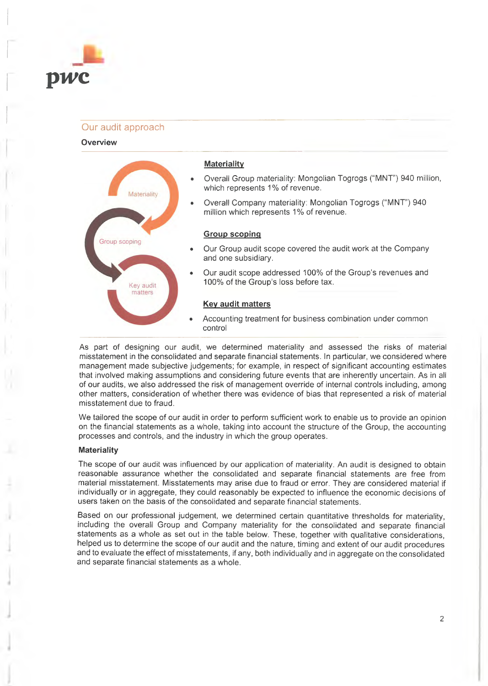

# Our audit approach

**Overview**



As part of designing our audit, we determined materiality and assessed the risks of material misstatement in the consolidated and separate financial statements. In particular, we considered where management made subjective judgements; for example, in respect of significant accounting estimates that involved making assumptions and considering future events that are inherently uncertain. As in all of our audits, we also addressed the risk of management override of internal controls including, among other matters, consideration of whether there was evidence of bias that represented a risk of material misstatement due to fraud.

We tailored the scope of our audit in order to perform sufficient work to enable us to provide an opinion on the financial statements as a whole, taking into account the structure of the Group, the accounting processes and controls, and the industry in which the group operates.

# **Materiality**

The scope of our audit was influenced by our application of materiality. An audit is designed to obtain reasonable assurance whether the consolidated and separate financial statements are free from material misstatement. Misstatements may arise due to fraud or error. They are considered material if individually or in aggregate, they could reasonably be expected to influence the economic decisions of users taken on the basis of the consolidated and separate financial statements.

Based on our professional judgement, we determined certain quantitative thresholds for materiality, including the overall Group and Company materiality for the consolidated and separate financial statements as a whole as set out in the table below. These, together with qualitative considerations, helped us to determine the scope of our audit and the nature, timing and extent of our audit procedures and to evaluate the effect of misstatements, if any, both individually and in aggregate on the consolidated and separate financial statements as a whole.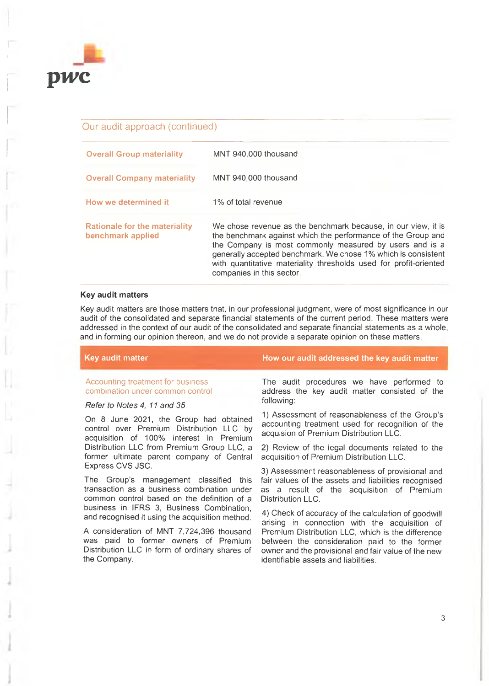

Our audit approach (continued)

| <b>Overall Group materiality</b>                          | MNT 940,000 thousand                                                                                                                                                                                                                                                                                                                                        |
|-----------------------------------------------------------|-------------------------------------------------------------------------------------------------------------------------------------------------------------------------------------------------------------------------------------------------------------------------------------------------------------------------------------------------------------|
| <b>Overall Company materiality</b>                        | MNT 940,000 thousand                                                                                                                                                                                                                                                                                                                                        |
| How we determined it                                      | 1% of total revenue                                                                                                                                                                                                                                                                                                                                         |
| <b>Rationale for the materiality</b><br>benchmark applied | We chose revenue as the benchmark because, in our view, it is<br>the benchmark against which the performance of the Group and<br>the Company is most commonly measured by users and is a<br>generally accepted benchmark. We chose 1% which is consistent<br>with quantitative materiality thresholds used for profit-oriented<br>companies in this sector. |

#### **Key audit matters**

Key audit matters are those matters that, in our professional judgment, were of most significance in our audit of the consolidated and separate financial statements of the current period. These matters were addressed in the context of our audit of the consolidated and separate financial statements as a whole, and in forming our opinion thereon, and we do not provide a separate opinion on these matters.

Accounting treatment for business combination under common control

#### *Refer to Notes 4, 11 and 35*

On 8 June 2021, the Group had obtained control over Premium Distribution LLC by acquisition of 100% interest in Premium Distribution LLC from Premium Group LLC, a former ultimate parent company of Central Express CVS JSC.

The Group's management classified this transaction as a business combination under common control based on the definition of a business in IFRS 3, Business Combination, and recognised it using the acquisition method.

A consideration of MNT 7,724,396 thousand was paid to former owners of Premium Distribution LLC in form of ordinary shares of the Company.

#### **Key audit matter How our audit addressed the key audit matter**

The audit procedures we have performed to address the key audit matter consisted of the following:

1) Assessment of reasonableness of the Group's accounting treatment used for recognition of the acquision of Premium Distribution LLC.

2) Review of the legal documents related to the acquisition of Premium Distribution LLC.

3) Assessment reasonableness of provisional and fair values of the assets and liabilities recognised as a result of the acquisition of Premium Distribution LLC.

4) Check of accuracy of the calculation of goodwill arising in connection with the acquisition of Premium Distribution LLC, which is the difference between the consideration paid to the former owner and the provisional and fair value of the new identifiable assets and liabilities.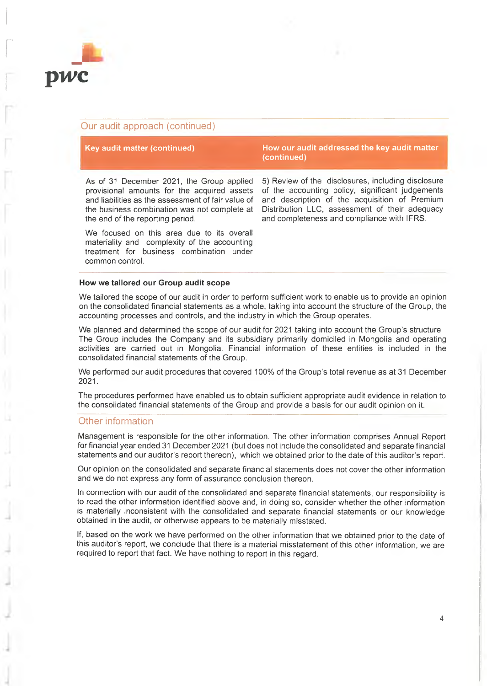

## Our audit approach (continued)

**Key audit matter (continued) How our audit addressed the key audit matter (continued)**

> 5) Review of the disclosures, including disclosure of the accounting policy, significant judgements and description of the acquisition of Premium Distribution LLC, assessment of their adequacy and completeness and compliance with IFRS.

As of 31 December 2021, the Group applied provisional amounts for the acquired assets and liabilities as the assessment of fair value of the business combination was not complete at the end of the reporting period.

We focused on this area due to its overall materiality and complexity of the accounting treatment for business combination under common control.

#### **How we tailored our Group audit scope**

We tailored the scope of our audit in order to perform sufficient work to enable us to provide an opinion on the consolidated financial statements as a whole, taking into account the structure of the Group, the accounting processes and controls, and the industry in which the Group operates.

We planned and determined the scope of our audit for 2021 taking into account the Group's structure. The Group includes the Company and its subsidiary primarily domiciled in Mongolia and operating activities are carried out in Mongolia. Financial information of these entities is included in the consolidated financial statements of the Group.

We performed our audit procedures that covered 100% of the Group's total revenue as at 31 December 2021.

The procedures performed have enabled us to obtain sufficient appropriate audit evidence in relation to the consolidated financial statements of the Group and provide a basis for our audit opinion on it.

# Other information

Management is responsible for the other information. The other information comprises Annual Report for financial year ended 31 December 2021 (but does not include the consolidated and separate financial statements and our auditor's report thereon), which we obtained prior to the date of this auditor's report.

Our opinion on the consolidated and separate financial statements does not cover the other information and we do not express any form of assurance conclusion thereon.

In connection with our audit of the consolidated and separate financial statements, our responsibility is to read the other information identified above and, in doing so, consider whether the other information is materially inconsistent with the consolidated and separate financial statements or our knowledge obtained in the audit, or otherwise appears to be materially misstated.

If, based on the work we have performed on the other information that we obtained prior to the date of this auditor's report, we conclude that there is a material misstatement of this other information, we are required to report that fact. We have nothing to report in this regard.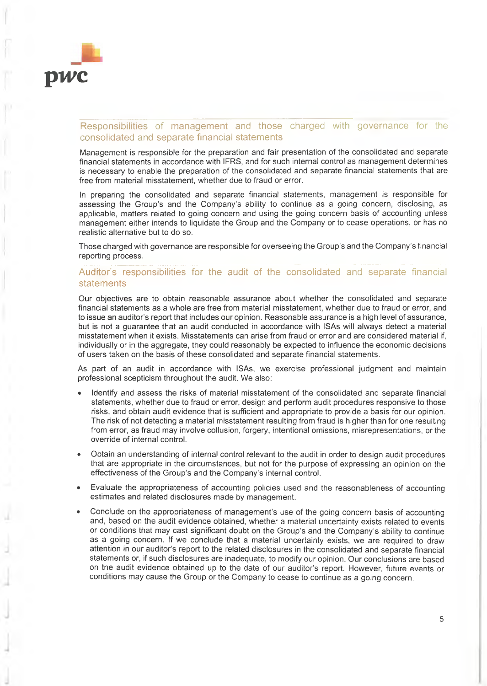

# Responsibilities of management and those charged with governance for the consolidated and separate financial statements

Management is responsible for the preparation and fair presentation of the consolidated and separate financial statements in accordance with IFRS, and for such internal control as management determines is necessary to enable the preparation of the consolidated and separate financial statements that are free from material misstatement, whether due to fraud or error.

In preparing the consolidated and separate financial statements, management is responsible for assessing the Group's and the Company's ability to continue as a going concern, disclosing, as applicable, matters related to going concern and using the going concern basis of accounting unless management either intends to liquidate the Group and the Company or to cease operations, or has no realistic alternative but to do so.

Those charged with governance are responsible for overseeing the Group's and the Company's financial reporting process.

# Auditor's responsibilities for the audit of the consolidated and separate financial statements

Our objectives are to obtain reasonable assurance about whether the consolidated and separate financial statements as a whole are free from material misstatement, whether due to fraud or error, and to issue an auditor's report that includes our opinion. Reasonable assurance is a high level of assurance, but is not a guarantee that an audit conducted in accordance with ISAs will always detect a material misstatement when it exists. Misstatements can arise from fraud or error and are considered material if, individually or in the aggregate, they could reasonably be expected to influence the economic decisions of users taken on the basis of these consolidated and separate financial statements.

As part of an audit in accordance with ISAs, we exercise professional judgment and maintain professional scepticism throughout the audit. We also:

- Identify and assess the risks of material misstatement of the consolidated and separate financial statements, whether due to fraud or error, design and perform audit procedures responsive to those risks, and obtain audit evidence that is sufficient and appropriate to provide a basis for our opinion. The risk of not detecting a material misstatement resulting from fraud is higher than for one resulting from error, as fraud may involve collusion, forgery, intentional omissions, misrepresentations, or the override of internal control.
- Obtain an understanding of internal control relevant to the audit in order to design audit procedures that are appropriate in the circumstances, but not for the purpose of expressing an opinion on the effectiveness of the Group's and the Company's internal control.
- Evaluate the appropriateness of accounting policies used and the reasonableness of accounting estimates and related disclosures made by management.
- Conclude on the appropriateness of management's use of the going concern basis of accounting and, based on the audit evidence obtained, whether a material uncertainty exists related to events or conditions that may cast significant doubt on the Group's and the Company's ability to continue as a going concern. If we conclude that a material uncertainty exists, we are required to draw attention in our auditor's report to the related disclosures in the consolidated and separate financial statements or, if such disclosures are inadequate, to modify our opinion. Our conclusions are based on the audit evidence obtained up to the date of our auditor's report. However, future events or conditions may cause the Group or the Company to cease to continue as a going concern.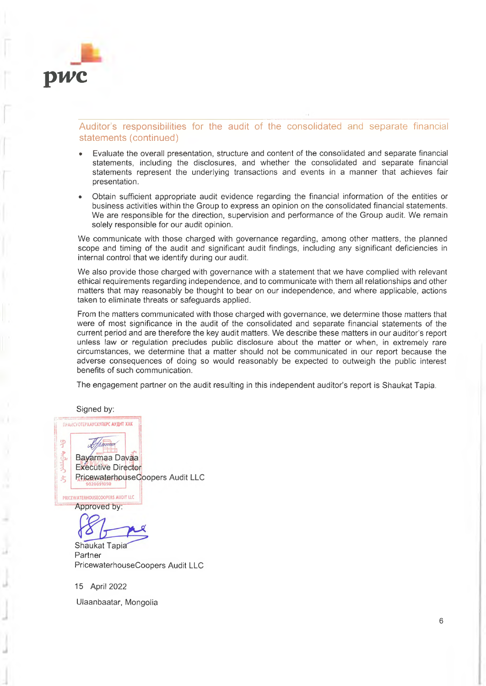

Auditor's responsibilities for the audit of the consolidated and separate financial statements (continued)

- Evaluate the overall presentation, structure and content of the consolidated and separate financial statements, including the disclosures, and whether the consolidated and separate financial statements represent the underlying transactions and events in a manner that achieves fair presentation.
- Obtain sufficient appropriate audit evidence regarding the financial information of the entities or business activities within the Group to express an opinion on the consolidated financial statements. We are responsible for the direction, supervision and performance of the Group audit. We remain solely responsible for our audit opinion.

We communicate with those charged with governance regarding, among other matters, the planned scope and timing of the audit and significant audit findings, including any significant deficiencies in internal control that we identify during our audit.

We also provide those charged with governance with a statement that we have complied with relevant ethical requirements regarding independence, and to communicate with them all relationships and other matters that may reasonably be thought to bear on our independence, and where applicable, actions taken to eliminate threats or safeguards applied.

From the matters communicated with those charged with governance, we determine those matters that were of most significance in the audit of the consolidated and separate financial statements of the current period and are therefore the key audit matters. We describe these matters in our auditor's report unless law or regulation precludes public disclosure about the matter or when, in extremely rare circumstances, we determine that a matter should not be communicated in our report because the adverse consequences of doing so would reasonably be expected to outweigh the public interest benefits of such communication.

The engagement partner on the audit resulting in this independent auditor's report is Shaukat Tapia.

Signed by:



Shaukat Tapi Partner

PricewaterhouseCoopers Audit LLC

15 April 2022

Ulaanbaatar, Mongolia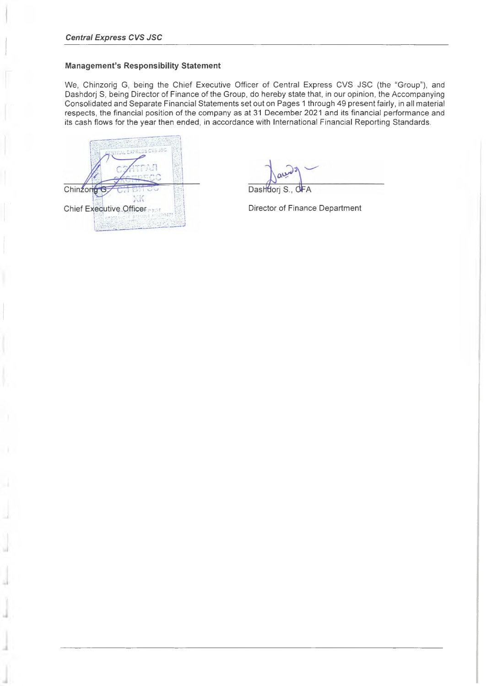### **Management's Responsibility Statement**

We, Chinzorig G, being the Chief Executive Officer of Central Express CVS JSC (the "Group"), and Dashdorj S, being Director of Finance of the Group, do hereby state that, in our opinion, the Accompanying Consolidated and Separate Financial Statements set out on Pages <sup>1</sup> through 49 present fairly, in all material respects, the financial position of the company as at 31 December 2021 and its financial performance and its cash flows for the year then ended, in accordance with International Financial Reporting Standards.

Chinzori XX **Chief Executive Officer** 

Dashdorj S.

Director of Finance Department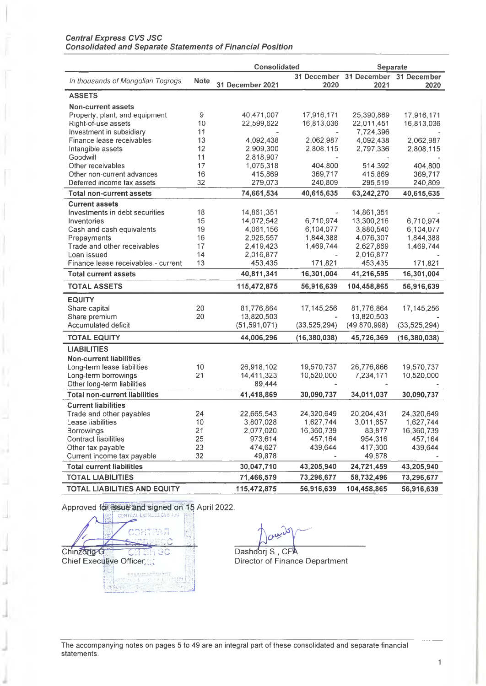# *Central Express CVS JSC*

*Consolidated and Separate Statements of Financial Position*

|                                                 |             | Consolidated      |                | Separate                |                         |  |
|-------------------------------------------------|-------------|-------------------|----------------|-------------------------|-------------------------|--|
| In thousands of Mongolian Togrogs               | <b>Note</b> |                   | 31 December -  |                         | 31 December 31 December |  |
|                                                 |             | 31 December 2021  | 2020           | 2021                    | 2020                    |  |
| <b>ASSETS</b>                                   |             |                   |                |                         |                         |  |
| <b>Non-current assets</b>                       |             |                   |                |                         |                         |  |
| Property, plant, and equipment                  | 9<br>10     | 40,471,007        | 17,916,171     | 25,390,869              | 17,916,171              |  |
| Right-of-use assets<br>Investment in subsidiary | 11          | 22,599,622        | 16,813,036     | 22,011,451<br>7,724,396 | 16,813,036              |  |
| Finance lease receivables                       | 13          | 4,092,438         | 2,062,987      | 4,092,438               | 2,062,987               |  |
| Intangible assets                               | 12          | 2,909,300         | 2,808,115      | 2,797,336               | 2,808,115               |  |
| Goodwill                                        | 11          | 2,818,907         |                |                         |                         |  |
| Other receivables                               | 17          | 1,075,318         | 404,800        | 514,392                 | 404,800                 |  |
| Other non-current advances                      | 16          | 415,869           | 369,717        | 415,869                 | 369,717                 |  |
| Deferred income tax assets                      | 32          | 279,073           | 240,809        | 295,519                 | 240,809                 |  |
| <b>Total non-current assets</b>                 |             | 74,661,534        | 40,615,635     | 63,242,270              | 40,615,635              |  |
| <b>Current assets</b>                           |             |                   |                |                         |                         |  |
| Investments in debt securities                  | 18          | 14,861,351        |                | 14,861,351              |                         |  |
| Inventories                                     | 15          | 14,072,542        | 6,710,974      | 13,300,216              | 6,710,974               |  |
| Cash and cash equivalents                       | 19          | 4,061,156         | 6,104,077      | 3,880,540               | 6,104,077               |  |
| Prepayments                                     | 16          | 2,926,557         | 1,844,388      | 4,076,307               | 1,844,388               |  |
| Trade and other receivables                     | 17          | 2,419,423         | 1,469,744      | 2,627,869               | 1,469,744               |  |
| Loan issued                                     | 14          | 2,016,877         |                | 2,016,877               |                         |  |
| Finance lease receivables - current             | 13          | 453,435           | 171,821        | 453,435                 | 171,821                 |  |
| <b>Total current assets</b>                     |             | 40,811,341        | 16,301,004     | 41,216,595              | 16,301,004              |  |
| <b>TOTAL ASSETS</b>                             |             | 115,472,875       | 56,916,639     | 104,458,865             | 56,916,639              |  |
| <b>EQUITY</b>                                   |             |                   |                |                         |                         |  |
| Share capital                                   | 20          | 81,776,864        | 17, 145, 256   | 81,776,864              | 17, 145, 256            |  |
| Share premium                                   | 20          | 13,820,503        |                | 13,820,503              |                         |  |
| Accumulated deficit                             |             | (51, 591, 071)    | (33, 525, 294) | (49, 870, 998)          | (33, 525, 294)          |  |
| <b>TOTAL EQUITY</b>                             |             | 44,006,296        | (16, 380, 038) | 45,726,369              | (16, 380, 038)          |  |
| <b>LIABILITIES</b>                              |             |                   |                |                         |                         |  |
| <b>Non-current liabilities</b>                  |             |                   |                |                         |                         |  |
| Long-term lease liabilities                     | 10          | 26,918,102        | 19,570,737     | 26,776,866              | 19,570,737              |  |
| Long-term borrowings                            | 21          | 14,411,323        | 10,520,000     | 7,234,171               | 10,520,000              |  |
| Other long-term liabilities                     |             | 89,444            |                |                         |                         |  |
| <b>Total non-current liabilities</b>            |             | 41,418,869        | 30,090,737     | 34,011,037              | 30,090,737              |  |
| <b>Current liabilities</b>                      |             |                   |                |                         |                         |  |
| Trade and other payables                        | 24          | 22,665,543        | 24,320,649     | 20,204,431              | 24,320,649              |  |
| Lease liabilities                               | 10          | 3,807,028         | 1,627,744      | 3,011,657               | 1,627,744               |  |
| Borrowings                                      | 21          | 2,077,020         | 16,360,739     | 83,877                  | 16,360,739              |  |
| <b>Contract liabilities</b>                     | 25          | 973,614           | 457,164        | 954,316                 | 457,164                 |  |
| Other tax payable<br>Current income tax payable | 23<br>32    | 474,627<br>49,878 | 439,644        | 417,300<br>49,878       | 439,644                 |  |
| <b>Total current liabilities</b>                |             |                   |                | 24,721,459              |                         |  |
|                                                 |             | 30,047,710        | 43,205,940     |                         | 43,205,940              |  |
| <b>TOTAL LIABILITIES</b>                        |             | 71,466,579        | 73,296,677     | 58,732,496              | 73,296,677              |  |
| <b>TOTAL LIABILITIES AND EQUITY</b>             |             | 115,472,875       | 56,916,639     | 104,458,865             | 56,916,639              |  |

Approved for issue and signed on 15 April 2022.

E K7 R 5 CVS AA Chinzorig G. GC on sh **Chief Executive Officer** lum ; <sup>&</sup>lt; ' : :.j

 $\int \frac{1}{\cos x} dx$ 

Dashdorj S., CFA Director of Finance Department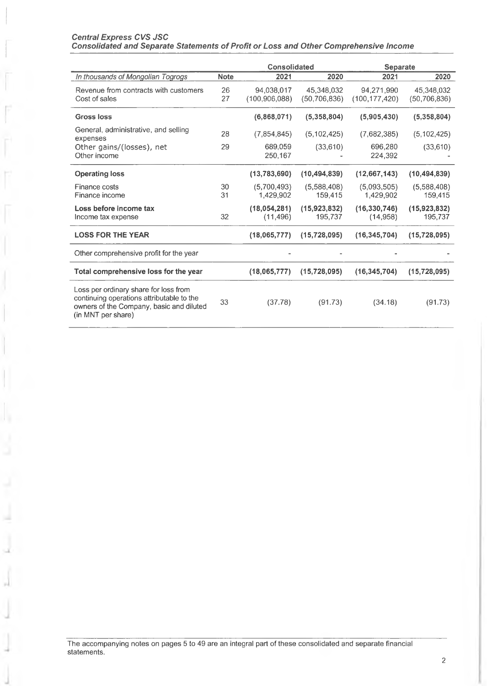|                                                                                                                                                      |             | Consolidated                  |                              | Separate                      |                              |  |
|------------------------------------------------------------------------------------------------------------------------------------------------------|-------------|-------------------------------|------------------------------|-------------------------------|------------------------------|--|
| In thousands of Mongolian Togrogs                                                                                                                    | <b>Note</b> | 2021                          | 2020                         | 2021                          | 2020                         |  |
| Revenue from contracts with customers<br>Cost of sales                                                                                               | 26<br>27    | 94.038.017<br>(100, 906, 088) | 45,348,032<br>(50, 706, 836) | 94,271,990<br>(100, 177, 420) | 45,348,032<br>(50, 706, 836) |  |
| <b>Gross loss</b>                                                                                                                                    |             | (6,868,071)                   | (5,358,804)                  | (5,905,430)                   | (5,358,804)                  |  |
| General, administrative, and selling<br>expenses                                                                                                     | 28          | (7,854,845)                   | (5, 102, 425)                | (7,682,385)                   | (5, 102, 425)                |  |
| Other gains/(losses), net<br>Other income                                                                                                            | 29          | 689,059<br>250,167            | (33,610)                     | 696,280<br>224,392            | (33,610)                     |  |
| <b>Operating loss</b>                                                                                                                                |             | (13,783,690)                  | (10, 494, 839)               | (12,667,143)                  | (10, 494, 839)               |  |
| Finance costs<br>Finance income                                                                                                                      | 30<br>31    | (5,700,493)<br>1.429.902      | (5,588,408)<br>159.415       | (5.093, 505)<br>1.429.902     | (5,588,408)<br>159,415       |  |
| Loss before income tax<br>Income tax expense                                                                                                         | 32          | (18, 054, 281)<br>(11, 496)   | (15,923,832)<br>195,737      | (16, 330, 746)<br>(14,958)    | (15,923,832)<br>195,737      |  |
| <b>LOSS FOR THE YEAR</b>                                                                                                                             |             | (18,065,777)                  | (15, 728, 095)               | (16, 345, 704)                | (15, 728, 095)               |  |
| Other comprehensive profit for the year                                                                                                              |             |                               |                              |                               |                              |  |
| Total comprehensive loss for the year                                                                                                                |             | (18,065,777)                  | (15,728,095)                 | (16, 345, 704)                | (15,728,095)                 |  |
| Loss per ordinary share for loss from<br>continuing operations attributable to the<br>owners of the Company, basic and diluted<br>(in MNT per share) | 33          | (37.78)                       | (91.73)                      | (34.18)                       | (91.73)                      |  |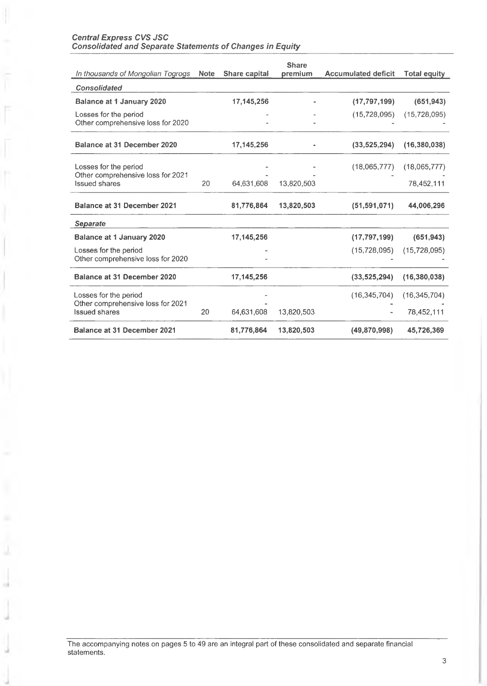|                                                            |             |               | <b>Share</b> |                            |                |
|------------------------------------------------------------|-------------|---------------|--------------|----------------------------|----------------|
| In thousands of Mongolian Togrogs                          | <b>Note</b> | Share capital | premium      | <b>Accumulated deficit</b> | Total equity   |
| <b>Consolidated</b>                                        |             |               |              |                            |                |
| <b>Balance at 1 January 2020</b>                           |             | 17,145,256    |              | (17, 797, 199)             | (651, 943)     |
| Losses for the period<br>Other comprehensive loss for 2020 |             |               |              | (15, 728, 095)             | (15,728,095)   |
| <b>Balance at 31 December 2020</b>                         |             | 17,145,256    |              | (33, 525, 294)             | (16, 380, 038) |
| Losses for the period<br>Other comprehensive loss for 2021 |             |               |              | (18,065,777)               | (18,065,777)   |
| <b>Issued shares</b>                                       | 20          | 64,631,608    | 13,820,503   |                            | 78,452,111     |
| <b>Balance at 31 December 2021</b>                         |             | 81,776,864    | 13,820,503   | (51, 591, 071)             | 44,006,296     |
| <b>Separate</b>                                            |             |               |              |                            |                |
| <b>Balance at 1 January 2020</b>                           |             | 17, 145, 256  |              | (17, 797, 199)             | (651, 943)     |
| Losses for the period<br>Other comprehensive loss for 2020 |             |               |              | (15, 728, 095)             | (15,728,095)   |
| Balance at 31 December 2020                                |             | 17, 145, 256  |              | (33, 525, 294)             | (16, 380, 038) |
| Losses for the period<br>Other comprehensive loss for 2021 |             |               |              | (16, 345, 704)             | (16, 345, 704) |
| <b>Issued shares</b>                                       | 20          | 64,631,608    | 13,820,503   |                            | 78,452,111     |
| <b>Balance at 31 December 2021</b>                         |             | 81,776,864    | 13,820,503   | (49,870,998)               | 45,726,369     |